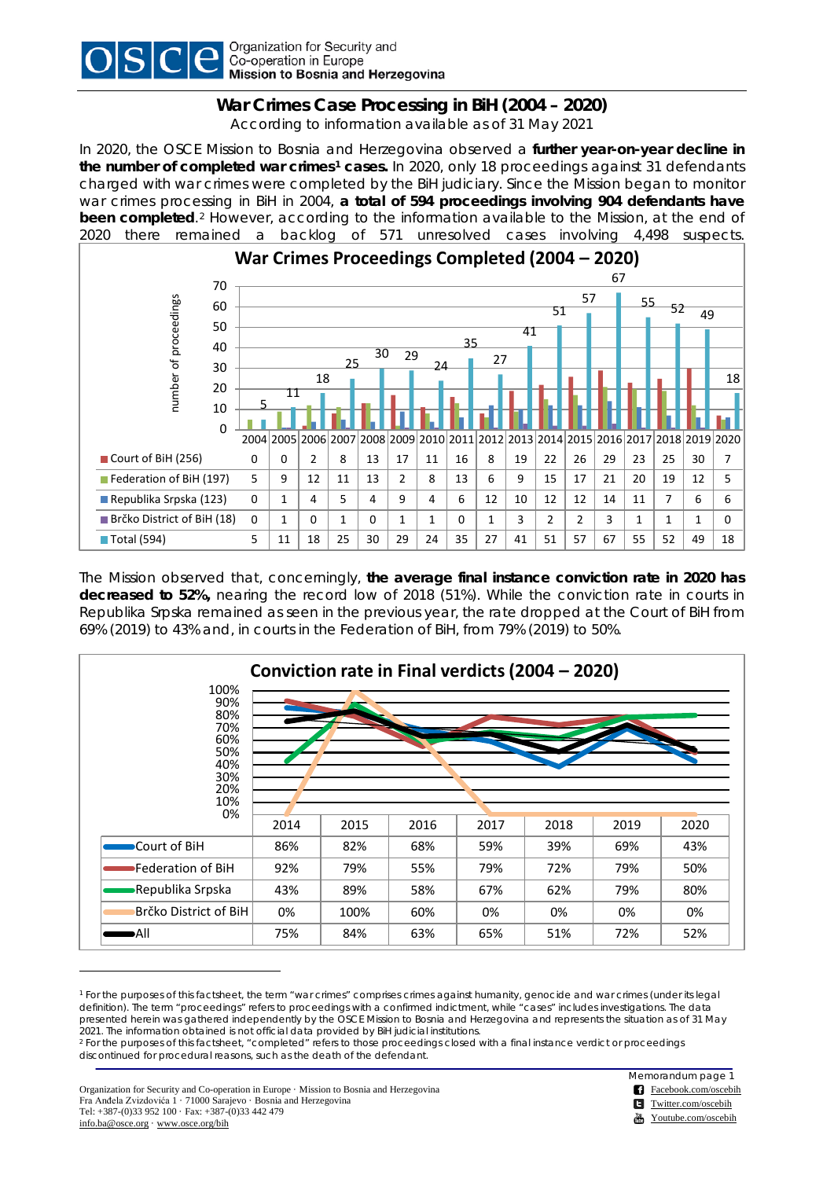

## **War Crimes Case Processing in BiH (2004 – 2020)**

According to information available as of 31 May 2021

In 2020, the OSCE Mission to Bosnia and Herzegovina observed a **further year-on-year decline in the number of completed war crimes[1](#page-0-0) cases.** In 2020, only 18 proceedings against 31 defendants charged with war crimes were completed by the BiH judiciary. Since the Mission began to monitor war crimes processing in BiH in 2004, **a total of 594 proceedings involving 904 defendants have been completed**.[2](#page-0-1) However, according to the information available to the Mission, at the end of 2020 there remained a backlog of 571 unresolved cases involving 4,498 suspects.



The Mission observed that, concerningly, **the average final instance conviction rate in 2020 has decreased to 52%,** nearing the record low of 2018 (51%). While the conviction rate in courts in Republika Srpska remained as seen in the previous year, the rate dropped at the Court of BiH from 69% (2019) to 43% and, in courts in the Federation of BiH, from 79% (2019) to 50%.



<span id="page-0-0"></span><sup>1</sup> For the purposes of this factsheet, the term "war crimes" comprises crimes against humanity, genocide and war crimes (under its legal definition). The term "proceedings" refers to proceedings with a confirmed indictment, while "cases" includes investigations. The data presented herein was gathered independently by the OSCE Mission to Bosnia and Herzegovina and represents the situation as of 31 May 2021. The information obtained is not official data provided by BiH judicial institutions.

Organization for Security and Co-operation in Europe · Mission to Bosnia and Herzegovina Fra Anđela Zvizdovića 1 · 71000 Sarajevo · Bosnia and Herzegovina Tel: +387-(0)33 952 100 · Fax: +387-(0)33 442 479 [info.ba@osce.org](mailto:info.ba@osce.org) · www.osce.org/bih

-

Memorandum page 1

[Facebook.com/oscebih](http://www.facebook.com/oscebih)

[Twitter.com/oscebih](http://www.twitter.com/oscebih)

[Youtube.com/oscebih](http://www.youtube.com/oscebih)

<span id="page-0-1"></span><sup>2</sup> For the purposes of this factsheet, "completed" refers to those proceedings closed with a final instance verdict or proceedings discontinued for procedural reasons, such as the death of the defendant.